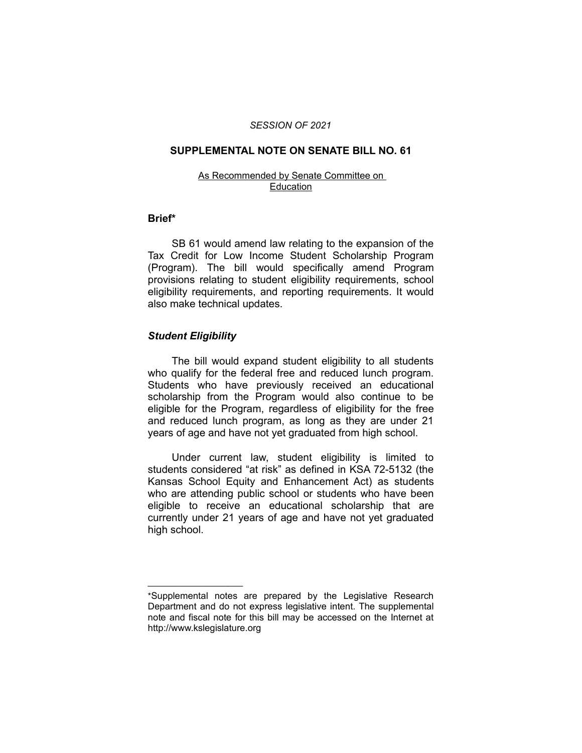### *SESSION OF 2021*

### **SUPPLEMENTAL NOTE ON SENATE BILL NO. 61**

### As Recommended by Senate Committee on **Education**

## **Brief\***

SB 61 would amend law relating to the expansion of the Tax Credit for Low Income Student Scholarship Program (Program). The bill would specifically amend Program provisions relating to student eligibility requirements, school eligibility requirements, and reporting requirements. It would also make technical updates.

# *Student Eligibility*

 $\overline{\phantom{a}}$  , where  $\overline{\phantom{a}}$  , where  $\overline{\phantom{a}}$ 

The bill would expand student eligibility to all students who qualify for the federal free and reduced lunch program. Students who have previously received an educational scholarship from the Program would also continue to be eligible for the Program, regardless of eligibility for the free and reduced lunch program, as long as they are under 21 years of age and have not yet graduated from high school.

Under current law, student eligibility is limited to students considered "at risk" as defined in KSA 72-5132 (the Kansas School Equity and Enhancement Act) as students who are attending public school or students who have been eligible to receive an educational scholarship that are currently under 21 years of age and have not yet graduated high school.

<sup>\*</sup>Supplemental notes are prepared by the Legislative Research Department and do not express legislative intent. The supplemental note and fiscal note for this bill may be accessed on the Internet at http://www.kslegislature.org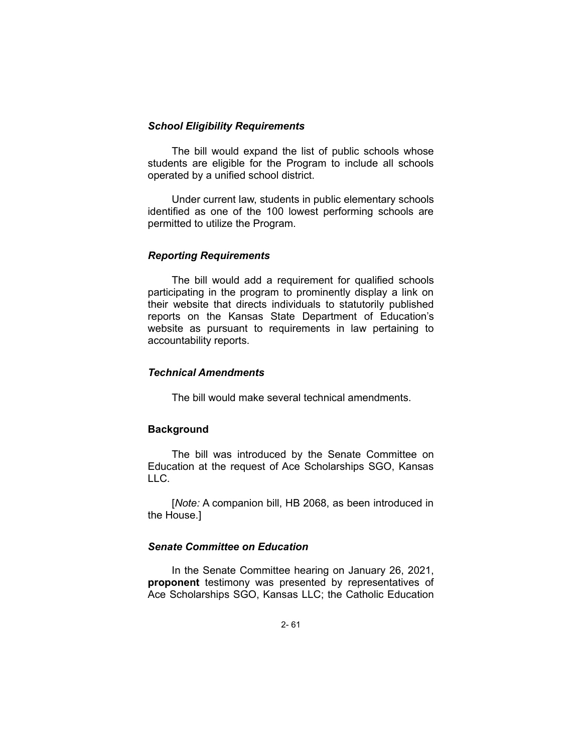## *School Eligibility Requirements*

The bill would expand the list of public schools whose students are eligible for the Program to include all schools operated by a unified school district.

Under current law, students in public elementary schools identified as one of the 100 lowest performing schools are permitted to utilize the Program.

## *Reporting Requirements*

The bill would add a requirement for qualified schools participating in the program to prominently display a link on their website that directs individuals to statutorily published reports on the Kansas State Department of Education's website as pursuant to requirements in law pertaining to accountability reports.

# *Technical Amendments*

The bill would make several technical amendments.

# **Background**

The bill was introduced by the Senate Committee on Education at the request of Ace Scholarships SGO, Kansas LLC.

[*Note:* A companion bill, HB 2068, as been introduced in the House.]

# *Senate Committee on Education*

In the Senate Committee hearing on January 26, 2021, **proponent** testimony was presented by representatives of Ace Scholarships SGO, Kansas LLC; the Catholic Education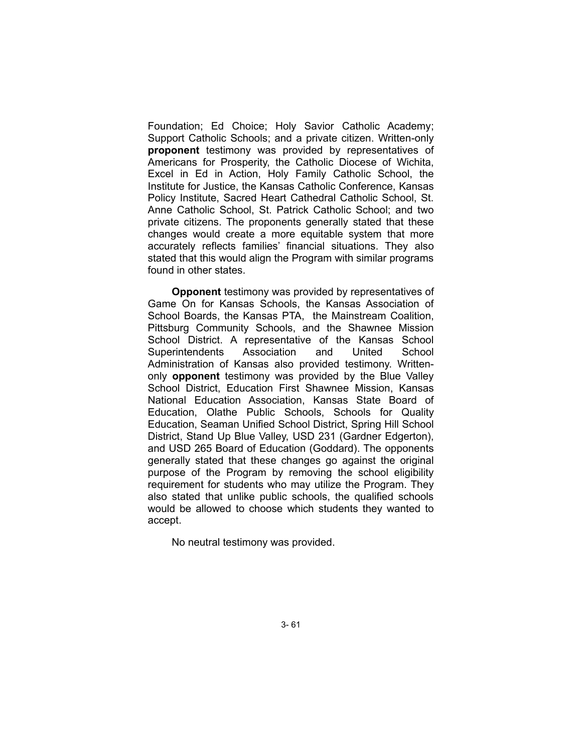Foundation; Ed Choice; Holy Savior Catholic Academy; Support Catholic Schools; and a private citizen. Written-only **proponent** testimony was provided by representatives of Americans for Prosperity, the Catholic Diocese of Wichita, Excel in Ed in Action, Holy Family Catholic School, the Institute for Justice, the Kansas Catholic Conference, Kansas Policy Institute, Sacred Heart Cathedral Catholic School, St. Anne Catholic School, St. Patrick Catholic School; and two private citizens. The proponents generally stated that these changes would create a more equitable system that more accurately reflects families' financial situations. They also stated that this would align the Program with similar programs found in other states.

**Opponent** testimony was provided by representatives of Game On for Kansas Schools, the Kansas Association of School Boards, the Kansas PTA, the Mainstream Coalition, Pittsburg Community Schools, and the Shawnee Mission School District. A representative of the Kansas School Superintendents Association and United School Administration of Kansas also provided testimony. Writtenonly **opponent** testimony was provided by the Blue Valley School District, Education First Shawnee Mission, Kansas National Education Association, Kansas State Board of Education, Olathe Public Schools, Schools for Quality Education, Seaman Unified School District, Spring Hill School District, Stand Up Blue Valley, USD 231 (Gardner Edgerton), and USD 265 Board of Education (Goddard). The opponents generally stated that these changes go against the original purpose of the Program by removing the school eligibility requirement for students who may utilize the Program. They also stated that unlike public schools, the qualified schools would be allowed to choose which students they wanted to accept.

No neutral testimony was provided.